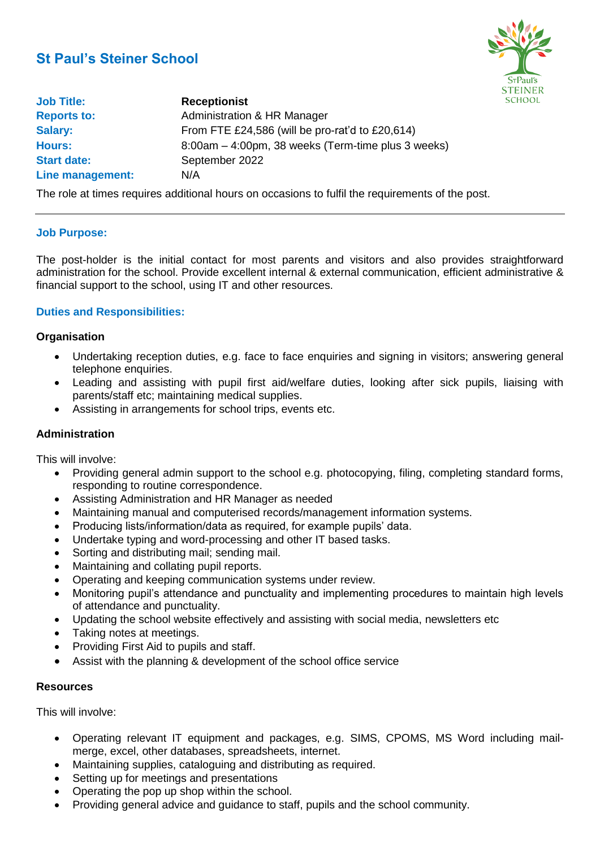# **St Paul's Steiner School**



| <b>Job Title:</b>  | <b>Receptionist</b>                                |
|--------------------|----------------------------------------------------|
| <b>Reports to:</b> | Administration & HR Manager                        |
| <b>Salary:</b>     | From FTE £24,586 (will be pro-rat'd to £20,614)    |
| <b>Hours:</b>      | 8:00am – 4:00pm, 38 weeks (Term-time plus 3 weeks) |
| <b>Start date:</b> | September 2022                                     |
| Line management:   | N/A                                                |

The role at times requires additional hours on occasions to fulfil the requirements of the post.

#### **Job Purpose:**

The post-holder is the initial contact for most parents and visitors and also provides straightforward administration for the school. Provide excellent internal & external communication, efficient administrative & financial support to the school, using IT and other resources.

#### **Duties and Responsibilities:**

#### **Organisation**

- Undertaking reception duties, e.g. face to face enquiries and signing in visitors; answering general telephone enquiries.
- Leading and assisting with pupil first aid/welfare duties, looking after sick pupils, liaising with parents/staff etc; maintaining medical supplies.
- Assisting in arrangements for school trips, events etc.

#### **Administration**

This will involve:

- Providing general admin support to the school e.g. photocopying, filing, completing standard forms, responding to routine correspondence.
- Assisting Administration and HR Manager as needed
- Maintaining manual and computerised records/management information systems.
- Producing lists/information/data as required, for example pupils' data.
- Undertake typing and word-processing and other IT based tasks.
- Sorting and distributing mail; sending mail.
- Maintaining and collating pupil reports.
- Operating and keeping communication systems under review.
- Monitoring pupil's attendance and punctuality and implementing procedures to maintain high levels of attendance and punctuality.
- Updating the school website effectively and assisting with social media, newsletters etc
- Taking notes at meetings.
- Providing First Aid to pupils and staff.
- Assist with the planning & development of the school office service

#### **Resources**

This will involve:

- Operating relevant IT equipment and packages, e.g. SIMS, CPOMS, MS Word including mailmerge, excel, other databases, spreadsheets, internet.
- Maintaining supplies, cataloguing and distributing as required.
- Setting up for meetings and presentations
- Operating the pop up shop within the school.
- Providing general advice and guidance to staff, pupils and the school community.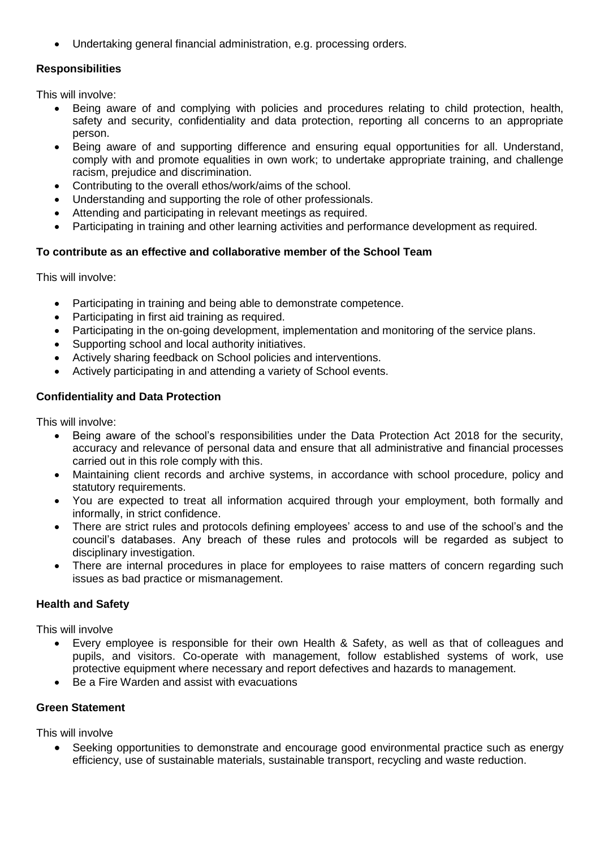• Undertaking general financial administration, e.g. processing orders.

# **Responsibilities**

This will involve:

- Being aware of and complying with policies and procedures relating to child protection, health, safety and security, confidentiality and data protection, reporting all concerns to an appropriate person.
- Being aware of and supporting difference and ensuring equal opportunities for all. Understand, comply with and promote equalities in own work; to undertake appropriate training, and challenge racism, prejudice and discrimination.
- Contributing to the overall ethos/work/aims of the school.
- Understanding and supporting the role of other professionals.
- Attending and participating in relevant meetings as required.
- Participating in training and other learning activities and performance development as required.

# **To contribute as an effective and collaborative member of the School Team**

This will involve:

- Participating in training and being able to demonstrate competence.
- Participating in first aid training as required.
- Participating in the on-going development, implementation and monitoring of the service plans.
- Supporting school and local authority initiatives.
- Actively sharing feedback on School policies and interventions.
- Actively participating in and attending a variety of School events.

# **Confidentiality and Data Protection**

This will involve:

- Being aware of the school's responsibilities under the Data Protection Act 2018 for the security, accuracy and relevance of personal data and ensure that all administrative and financial processes carried out in this role comply with this.
- Maintaining client records and archive systems, in accordance with school procedure, policy and statutory requirements.
- You are expected to treat all information acquired through your employment, both formally and informally, in strict confidence.
- There are strict rules and protocols defining employees' access to and use of the school's and the council's databases. Any breach of these rules and protocols will be regarded as subject to disciplinary investigation.
- There are internal procedures in place for employees to raise matters of concern regarding such issues as bad practice or mismanagement.

#### **Health and Safety**

This will involve

- Every employee is responsible for their own Health & Safety, as well as that of colleagues and pupils, and visitors. Co-operate with management, follow established systems of work, use protective equipment where necessary and report defectives and hazards to management.
- Be a Fire Warden and assist with evacuations

# **Green Statement**

This will involve

• Seeking opportunities to demonstrate and encourage good environmental practice such as energy efficiency, use of sustainable materials, sustainable transport, recycling and waste reduction.